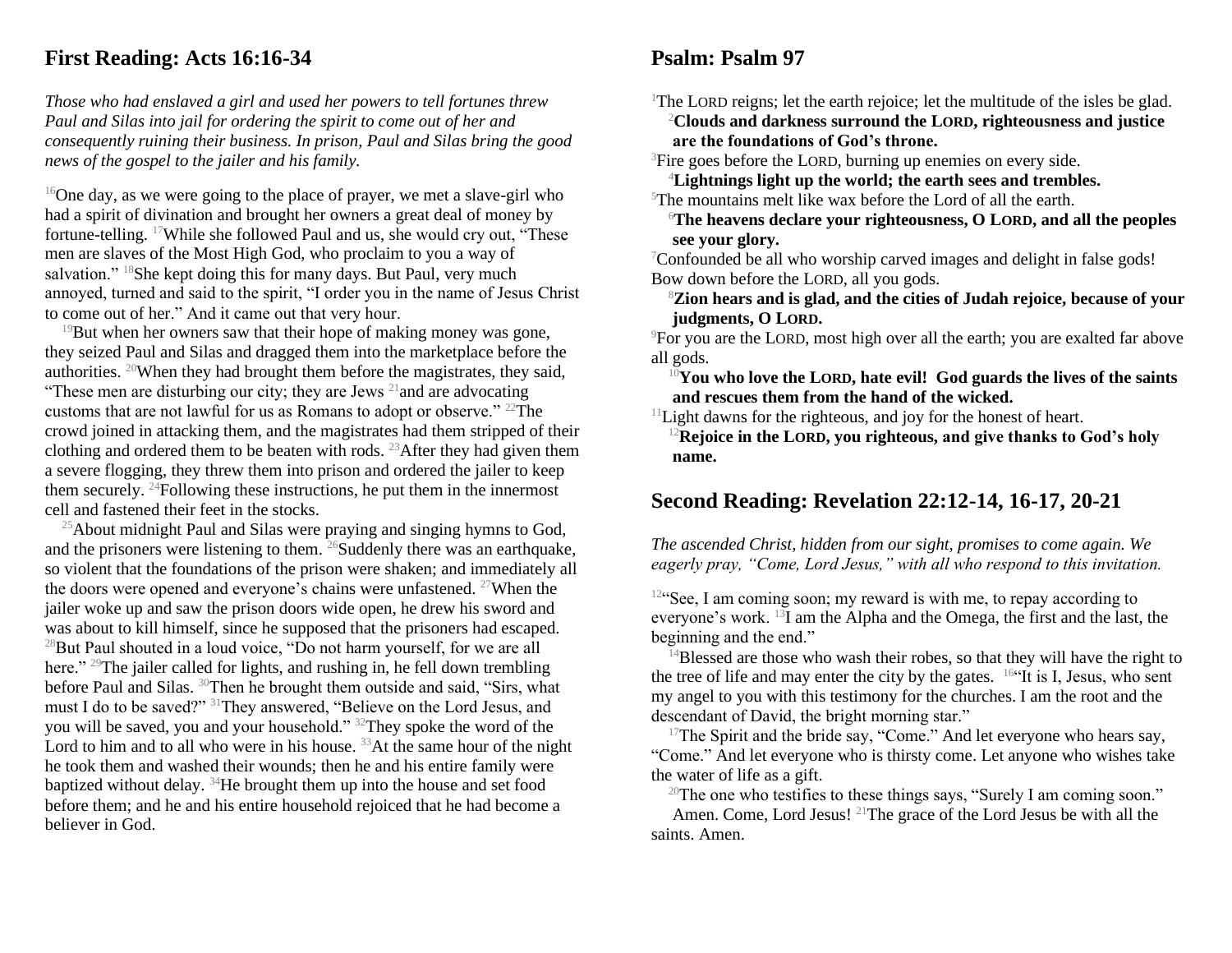## **First Reading: Acts 16:16-34**

*Those who had enslaved a girl and used her powers to tell fortunes threw Paul and Silas into jail for ordering the spirit to come out of her and consequently ruining their business. In prison, Paul and Silas bring the good news of the gospel to the jailer and his family.*

 $16$ One day, as we were going to the place of prayer, we met a slave-girl who had a spirit of divination and brought her owners a great deal of money by fortune-telling. <sup>17</sup>While she followed Paul and us, she would cry out, "These men are slaves of the Most High God, who proclaim to you a way of salvation."  $18$ She kept doing this for many days. But Paul, very much annoyed, turned and said to the spirit, "I order you in the name of Jesus Christ to come out of her." And it came out that very hour.

 $19$ But when her owners saw that their hope of making money was gone, they seized Paul and Silas and dragged them into the marketplace before the authorities. <sup>20</sup>When they had brought them before the magistrates, they said, "These men are disturbing our city; they are Jews  $^{21}$  and are advocating customs that are not lawful for us as Romans to adopt or observe." <sup>22</sup>The crowd joined in attacking them, and the magistrates had them stripped of their clothing and ordered them to be beaten with rods. <sup>23</sup> After they had given them a severe flogging, they threw them into prison and ordered the jailer to keep them securely.  $24$ Following these instructions, he put them in the innermost cell and fastened their feet in the stocks.

 $25$ About midnight Paul and Silas were praying and singing hymns to God, and the prisoners were listening to them.  $^{26}$ Suddenly there was an earthquake, so violent that the foundations of the prison were shaken; and immediately all the doors were opened and everyone's chains were unfastened. <sup>27</sup>When the jailer woke up and saw the prison doors wide open, he drew his sword and was about to kill himself, since he supposed that the prisoners had escaped. <sup>28</sup>But Paul shouted in a loud voice, "Do not harm yourself, for we are all here." <sup>29</sup>The jailer called for lights, and rushing in, he fell down trembling before Paul and Silas. <sup>30</sup>Then he brought them outside and said, "Sirs, what must I do to be saved?" <sup>31</sup>They answered, "Believe on the Lord Jesus, and you will be saved, you and your household." <sup>32</sup>They spoke the word of the Lord to him and to all who were in his house.  $33$ At the same hour of the night he took them and washed their wounds; then he and his entire family were baptized without delay. <sup>34</sup>He brought them up into the house and set food before them; and he and his entire household rejoiced that he had become a believer in God.

## **Psalm: Psalm 97**

<sup>1</sup>The LORD reigns; let the earth rejoice; let the multitude of the isles be glad. <sup>2</sup>**Clouds and darkness surround the LORD, righteousness and justice are the foundations of God's throne.**

<sup>3</sup>Fire goes before the LORD, burning up enemies on every side.

<sup>4</sup>**Lightnings light up the world; the earth sees and trembles.**

 $5$ The mountains melt like wax before the Lord of all the earth.

<sup>6</sup>**The heavens declare your righteousness, O LORD, and all the peoples see your glory.**

<sup>7</sup>Confounded be all who worship carved images and delight in false gods! Bow down before the LORD, all you gods.

<sup>8</sup>**Zion hears and is glad, and the cities of Judah rejoice, because of your judgments, O LORD.**

<sup>9</sup>For you are the LORD, most high over all the earth; you are exalted far above all gods.

<sup>10</sup>**You who love the LORD, hate evil! God guards the lives of the saints and rescues them from the hand of the wicked.**

 $11$ Light dawns for the righteous, and joy for the honest of heart.

<sup>12</sup>**Rejoice in the LORD, you righteous, and give thanks to God's holy name.**

## **Second Reading: Revelation 22:12-14, 16-17, 20-21**

*The ascended Christ, hidden from our sight, promises to come again. We eagerly pray, "Come, Lord Jesus," with all who respond to this invitation.*

 $12^{\circ}$ See, I am coming soon; my reward is with me, to repay according to everyone's work.  $^{13}I$  am the Alpha and the Omega, the first and the last, the beginning and the end."

 $14$ Blessed are those who wash their robes, so that they will have the right to the tree of life and may enter the city by the gates.  $164$ It is I, Jesus, who sent my angel to you with this testimony for the churches. I am the root and the descendant of David, the bright morning star."

 $17$ The Spirit and the bride say, "Come." And let everyone who hears say, "Come." And let everyone who is thirsty come. Let anyone who wishes take the water of life as a gift.

<sup>20</sup>The one who testifies to these things says, "Surely I am coming soon."

Amen. Come, Lord Jesus! <sup>21</sup>The grace of the Lord Jesus be with all the saints. Amen.